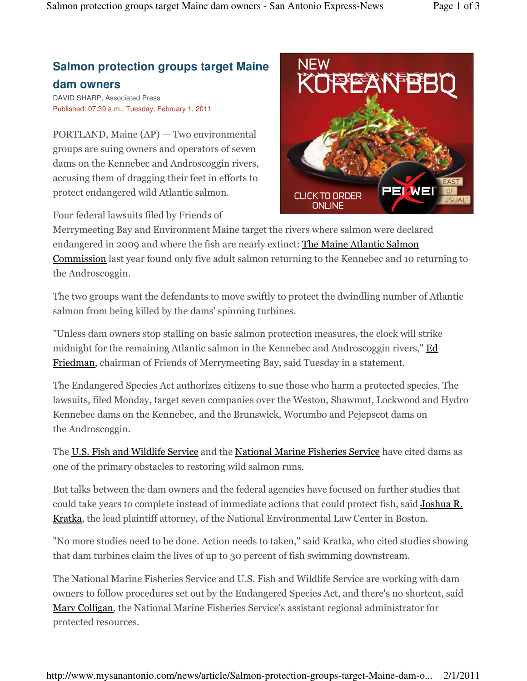## **Salmon protection groups target Maine dam owners**

DAVID SHARP, Associated Press Published: 07:39 a.m., Tuesday, February 1, 2011

PORTLAND, Maine (AP) — Two environmental groups are suing owners and operators of seven dams on the Kennebec and Androscoggin rivers, accusing them of dragging their feet in efforts to protect endangered wild Atlantic salmon.

Four federal lawsuits filed by Friends of



Merrymeeting Bay and Environment Maine target the rivers where salmon were declared endangered in 2009 and where the fish are nearly extinct: The Maine Atlantic Salmon Commission last year found only five adult salmon returning to the Kennebec and 10 returning to the Androscoggin.

The two groups want the defendants to move swiftly to protect the dwindling number of Atlantic salmon from being killed by the dams' spinning turbines.

"Unless dam owners stop stalling on basic salmon protection measures, the clock will strike midnight for the remaining Atlantic salmon in the Kennebec and Androscoggin rivers," **Ed** Friedman, chairman of Friends of Merrymeeting Bay, said Tuesday in a statement.

The Endangered Species Act authorizes citizens to sue those who harm a protected species. The lawsuits, filed Monday, target seven companies over the Weston, Shawmut, Lockwood and Hydro Kennebec dams on the Kennebec, and the Brunswick, Worumbo and Pejepscot dams on the Androscoggin.

The U.S. Fish and Wildlife Service and the National Marine Fisheries Service have cited dams as one of the primary obstacles to restoring wild salmon runs.

But talks between the dam owners and the federal agencies have focused on further studies that could take years to complete instead of immediate actions that could protect fish, said Joshua R. Kratka, the lead plaintiff attorney, of the National Environmental Law Center in Boston.

"No more studies need to be done. Action needs to taken," said Kratka, who cited studies showing that dam turbines claim the lives of up to 30 percent of fish swimming downstream.

The National Marine Fisheries Service and U.S. Fish and Wildlife Service are working with dam owners to follow procedures set out by the Endangered Species Act, and there's no shortcut, said Mary Colligan, the National Marine Fisheries Service's assistant regional administrator for protected resources.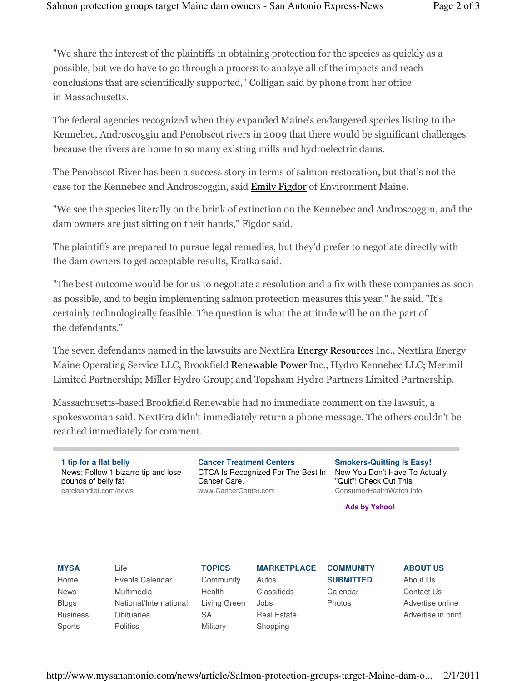"We share the interest of the plaintiffs in obtaining protection for the species as quickly as a possible, but we do have to go through a process to analzye all of the impacts and reach conclusions that are scientifically supported," Colligan said by phone from her office in Massachusetts.

The federal agencies recognized when they expanded Maine's endangered species listing to the Kennebec, Androscoggin and Penobscot rivers in 2009 that there would be significant challenges because the rivers are home to so many existing mills and hydroelectric dams.

The Penobscot River has been a success story in terms of salmon restoration, but that's not the case for the Kennebec and Androscoggin, said Emily Figdor of Environment Maine.

"We see the species literally on the brink of extinction on the Kennebec and Androscoggin, and the dam owners are just sitting on their hands," Figdor said.

The plaintiffs are prepared to pursue legal remedies, but they'd prefer to negotiate directly with the dam owners to get acceptable results, Kratka said.

"The best outcome would be for us to negotiate a resolution and a fix with these companies as soon as possible, and to begin implementing salmon protection measures this year," he said. "It's certainly technologically feasible. The question is what the attitude will be on the part of the defendants."

The seven defendants named in the lawsuits are NextEra Energy Resources Inc., NextEra Energy Maine Operating Service LLC, Brookfield Renewable Power Inc., Hydro Kennebec LLC; Merimil Limited Partnership; Miller Hydro Group; and Topsham Hydro Partners Limited Partnership.

Massachusetts-based Brookfield Renewable had no immediate comment on the lawsuit, a spokeswoman said. NextEra didn't immediately return a phone message. The others couldn't be reached immediately for comment.

**1 tip for a flat belly** News: Follow 1 bizarre tip and lose pounds of belly fat eatcleandiet.com/news

**Cancer Treatment Centers** CTCA Is Recognized For The Best In Cancer Care. www.CancerCenter.com

**Smokers-Quitting Is Easy!** Now You Don't Have To Actually "Quit"! Check Out This ConsumerHealthWatch.Info

**Ads by Yahoo!**

**MYSA** Home News Blogs

Business Sports

Life Events Calendar Multimedia National/International **Obituaries Politics** 

**TOPICS Community** Health Living Green SA **Military** 

**MARKETPLACE** Autos Classifieds Jobs Real Estate Shopping

**COMMUNITY SUBMITTED** Calendar Photos

**ABOUT US** About Us Contact Us Advertise online

Advertise in print